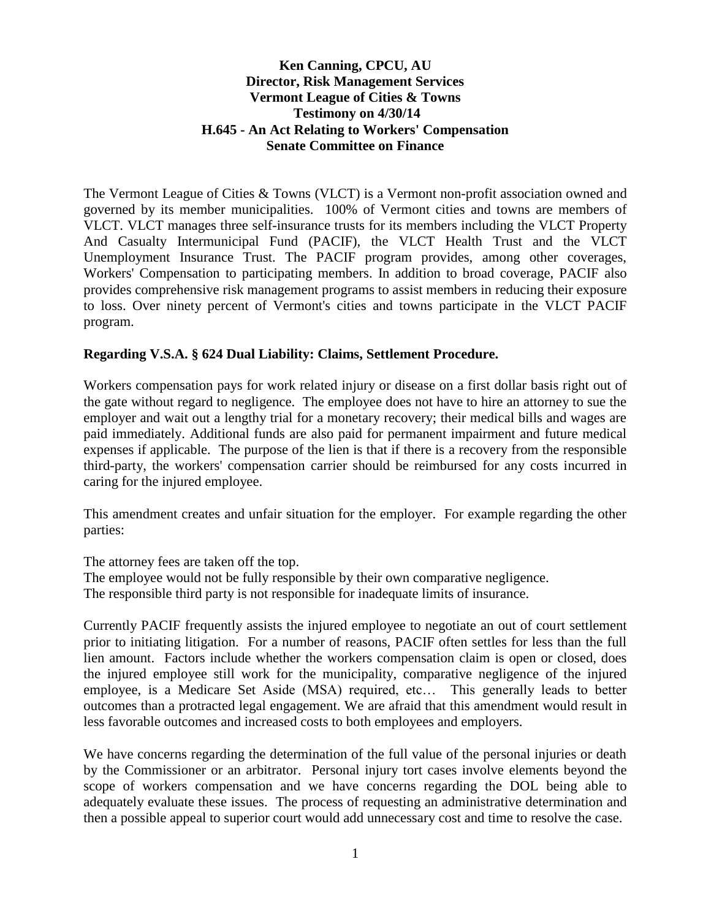## **Ken Canning, CPCU, AU Director, Risk Management Services Vermont League of Cities & Towns Testimony on 4/30/14 H.645 - An Act Relating to Workers' Compensation Senate Committee on Finance**

The Vermont League of Cities & Towns (VLCT) is a Vermont non-profit association owned and governed by its member municipalities. 100% of Vermont cities and towns are members of VLCT. VLCT manages three self-insurance trusts for its members including the VLCT Property And Casualty Intermunicipal Fund (PACIF), the VLCT Health Trust and the VLCT Unemployment Insurance Trust. The PACIF program provides, among other coverages, Workers' Compensation to participating members. In addition to broad coverage, PACIF also provides comprehensive risk management programs to assist members in reducing their exposure to loss. Over ninety percent of Vermont's cities and towns participate in the VLCT PACIF program.

## **Regarding V.S.A. § 624 Dual Liability: Claims, Settlement Procedure.**

Workers compensation pays for work related injury or disease on a first dollar basis right out of the gate without regard to negligence. The employee does not have to hire an attorney to sue the employer and wait out a lengthy trial for a monetary recovery; their medical bills and wages are paid immediately. Additional funds are also paid for permanent impairment and future medical expenses if applicable. The purpose of the lien is that if there is a recovery from the responsible third-party, the workers' compensation carrier should be reimbursed for any costs incurred in caring for the injured employee.

This amendment creates and unfair situation for the employer. For example regarding the other parties:

The attorney fees are taken off the top. The employee would not be fully responsible by their own comparative negligence. The responsible third party is not responsible for inadequate limits of insurance.

Currently PACIF frequently assists the injured employee to negotiate an out of court settlement prior to initiating litigation. For a number of reasons, PACIF often settles for less than the full lien amount. Factors include whether the workers compensation claim is open or closed, does the injured employee still work for the municipality, comparative negligence of the injured employee, is a Medicare Set Aside (MSA) required, etc… This generally leads to better outcomes than a protracted legal engagement. We are afraid that this amendment would result in less favorable outcomes and increased costs to both employees and employers.

We have concerns regarding the determination of the full value of the personal injuries or death by the Commissioner or an arbitrator. Personal injury tort cases involve elements beyond the scope of workers compensation and we have concerns regarding the DOL being able to adequately evaluate these issues. The process of requesting an administrative determination and then a possible appeal to superior court would add unnecessary cost and time to resolve the case.